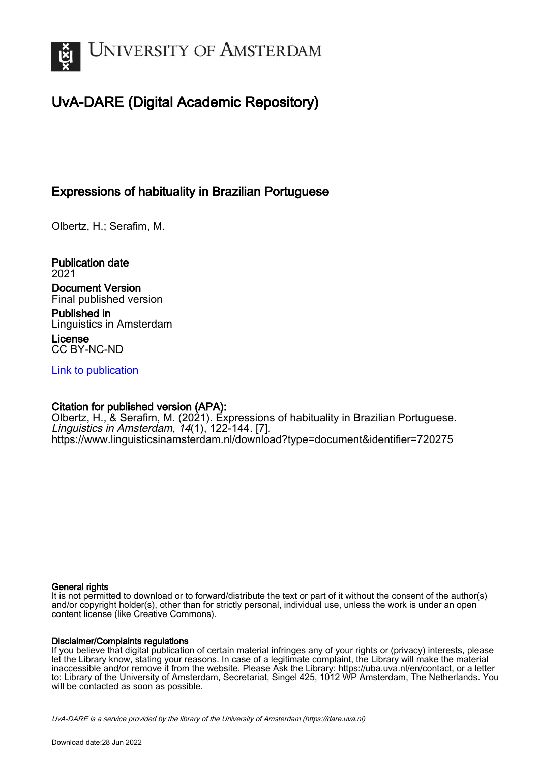

# UvA-DARE (Digital Academic Repository)

## Expressions of habituality in Brazilian Portuguese

Olbertz, H.; Serafim, M.

Publication date 2021 Document Version

Final published version

Published in Linguistics in Amsterdam License

CC BY-NC-ND

[Link to publication](https://dare.uva.nl/personal/pure/en/publications/expressions-of-habituality-in-brazilian-portuguese(fe9c72e9-0eaf-4cf5-86e4-67c98f6207c6).html)

#### Citation for published version (APA):

Olbertz, H., & Serafim, M. (2021). Expressions of habituality in Brazilian Portuguese. Linguistics in Amsterdam, 14(1), 122-144. [7]. <https://www.linguisticsinamsterdam.nl/download?type=document&identifier=720275>

#### General rights

It is not permitted to download or to forward/distribute the text or part of it without the consent of the author(s) and/or copyright holder(s), other than for strictly personal, individual use, unless the work is under an open content license (like Creative Commons).

#### Disclaimer/Complaints regulations

If you believe that digital publication of certain material infringes any of your rights or (privacy) interests, please let the Library know, stating your reasons. In case of a legitimate complaint, the Library will make the material inaccessible and/or remove it from the website. Please Ask the Library: https://uba.uva.nl/en/contact, or a letter to: Library of the University of Amsterdam, Secretariat, Singel 425, 1012 WP Amsterdam, The Netherlands. You will be contacted as soon as possible.

UvA-DARE is a service provided by the library of the University of Amsterdam (http*s*://dare.uva.nl)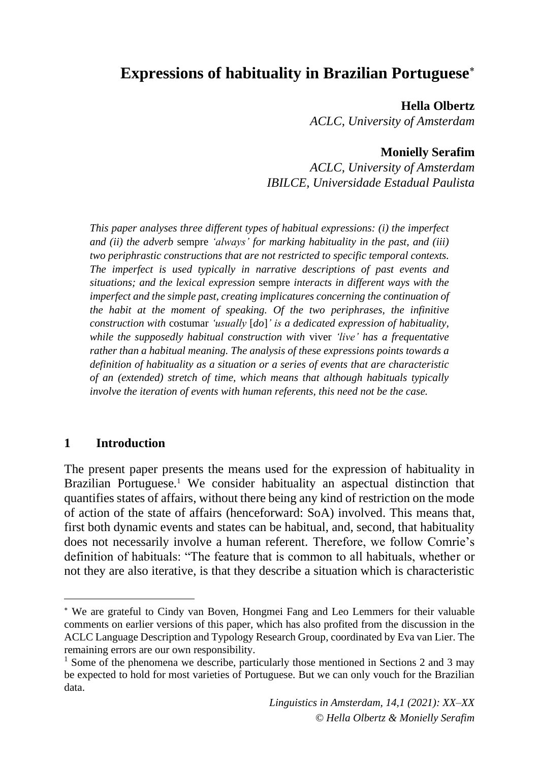# **Expressions of habituality in Brazilian Portuguese**

#### **Hella Olbertz**

*ACLC, University of Amsterdam*

### **Monielly Serafim**

*ACLC, University of Amsterdam IBILCE, Universidade Estadual Paulista*

*This paper analyses three different types of habitual expressions: (i) the imperfect and (ii) the adverb* sempre *'always' for marking habituality in the past, and (iii) two periphrastic constructions that are not restricted to specific temporal contexts. The imperfect is used typically in narrative descriptions of past events and situations; and the lexical expression* sempre *interacts in different ways with the imperfect and the simple past, creating implicatures concerning the continuation of the habit at the moment of speaking. Of the two periphrases, the infinitive construction with* costumar *'usually* [*do*]*' is a dedicated expression of habituality, while the supposedly habitual construction with* viver *'live' has a frequentative rather than a habitual meaning. The analysis of these expressions points towards a definition of habituality as a situation or a series of events that are characteristic of an (extended) stretch of time, which means that although habituals typically involve the iteration of events with human referents, this need not be the case.*

### **1 Introduction**

The present paper presents the means used for the expression of habituality in Brazilian Portuguese.<sup>1</sup> We consider habituality an aspectual distinction that quantifies states of affairs, without there being any kind of restriction on the mode of action of the state of affairs (henceforward: SoA) involved. This means that, first both dynamic events and states can be habitual, and, second, that habituality does not necessarily involve a human referent. Therefore, we follow Comrie's definition of habituals: "The feature that is common to all habituals, whether or not they are also iterative, is that they describe a situation which is characteristic

We are grateful to Cindy van Boven, Hongmei Fang and Leo Lemmers for their valuable comments on earlier versions of this paper, which has also profited from the discussion in the ACLC Language Description and Typology Research Group, coordinated by Eva van Lier. The remaining errors are our own responsibility.

<sup>&</sup>lt;sup>1</sup> Some of the phenomena we describe, particularly those mentioned in Sections 2 and 3 may be expected to hold for most varieties of Portuguese. But we can only vouch for the Brazilian data.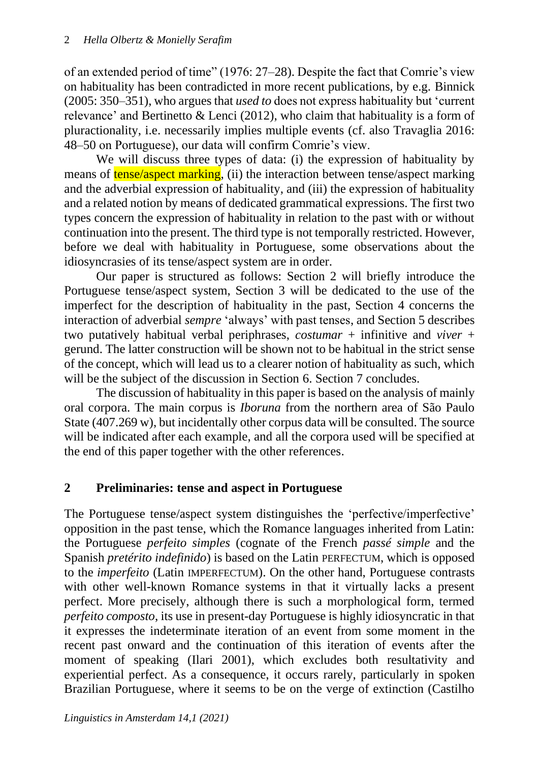of an extended period of time" (1976: 27–28). Despite the fact that Comrie's view on habituality has been contradicted in more recent publications, by e.g. Binnick (2005: 350–351), who argues that *used to* does not express habituality but 'current relevance' and Bertinetto & Lenci (2012), who claim that habituality is a form of pluractionality, i.e. necessarily implies multiple events (cf. also Travaglia 2016: 48–50 on Portuguese), our data will confirm Comrie's view.

We will discuss three types of data: (i) the expression of habituality by means of **tense/aspect marking**, (ii) the interaction between tense/aspect marking and the adverbial expression of habituality, and (iii) the expression of habituality and a related notion by means of dedicated grammatical expressions. The first two types concern the expression of habituality in relation to the past with or without continuation into the present. The third type is not temporally restricted. However, before we deal with habituality in Portuguese, some observations about the idiosyncrasies of its tense/aspect system are in order.

Our paper is structured as follows: Section 2 will briefly introduce the Portuguese tense/aspect system, Section 3 will be dedicated to the use of the imperfect for the description of habituality in the past, Section 4 concerns the interaction of adverbial *sempre* 'always' with past tenses, and Section 5 describes two putatively habitual verbal periphrases, *costumar* + infinitive and *viver* + gerund. The latter construction will be shown not to be habitual in the strict sense of the concept, which will lead us to a clearer notion of habituality as such, which will be the subject of the discussion in Section 6. Section 7 concludes.

The discussion of habituality in this paper is based on the analysis of mainly oral corpora. The main corpus is *Iboruna* from the northern area of São Paulo State (407.269 w), but incidentally other corpus data will be consulted. The source will be indicated after each example, and all the corpora used will be specified at the end of this paper together with the other references.

## **2 Preliminaries: tense and aspect in Portuguese**

The Portuguese tense/aspect system distinguishes the 'perfective/imperfective' opposition in the past tense, which the Romance languages inherited from Latin: the Portuguese *perfeito simples* (cognate of the French *passé simple* and the Spanish *pretérito indefinido*) is based on the Latin PERFECTUM, which is opposed to the *imperfeito* (Latin IMPERFECTUM). On the other hand, Portuguese contrasts with other well-known Romance systems in that it virtually lacks a present perfect. More precisely, although there is such a morphological form, termed *perfeito composto*, its use in present-day Portuguese is highly idiosyncratic in that it expresses the indeterminate iteration of an event from some moment in the recent past onward and the continuation of this iteration of events after the moment of speaking (Ilari 2001), which excludes both resultativity and experiential perfect. As a consequence, it occurs rarely, particularly in spoken Brazilian Portuguese, where it seems to be on the verge of extinction (Castilho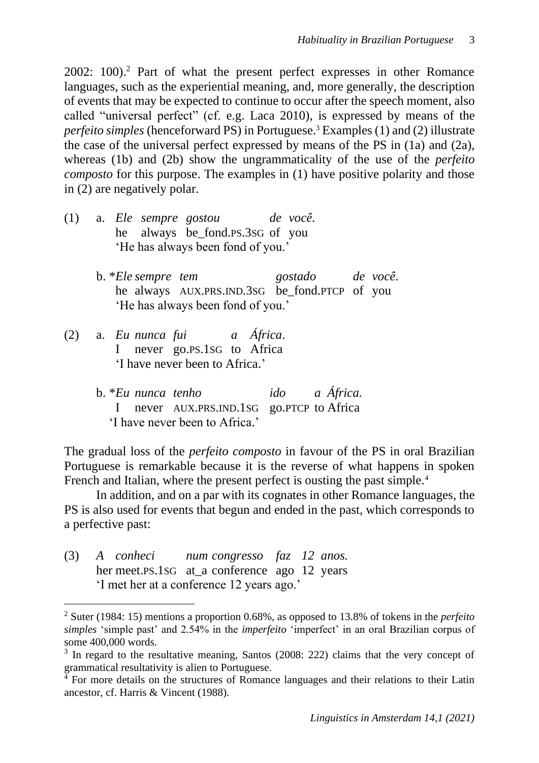2002: 100). <sup>2</sup> Part of what the present perfect expresses in other Romance languages, such as the experiential meaning, and, more generally, the description of events that may be expected to continue to occur after the speech moment, also called "universal perfect" (cf. e.g. Laca 2010), is expressed by means of the *perfeito simples* (henceforward PS) in Portuguese. <sup>3</sup> Examples (1) and (2) illustrate the case of the universal perfect expressed by means of the PS in (1a) and (2a), whereas (1b) and (2b) show the ungrammaticality of the use of the *perfeito composto* for this purpose. The examples in (1) have positive polarity and those in (2) are negatively polar.

- (1) a. *Ele sempre gostou de você.* he always be\_fond.PS.3SG of you 'He has always been fond of you.'
	- b. \**Ele sempre tem gostado de você.* he always AUX.PRS.IND.3SG be\_fond.PTCP of you 'He has always been fond of you.'
- (2) a. *Eu nunca fui a África*. I never go.PS.1SG to Africa 'I have never been to Africa.'
	- b. \**Eu nunca tenho ido a África.* I never AUX.PRS.IND.1SG go.PTCP to Africa 'I have never been to Africa.'

The gradual loss of the *perfeito composto* in favour of the PS in oral Brazilian Portuguese is remarkable because it is the reverse of what happens in spoken French and Italian, where the present perfect is ousting the past simple.<sup>4</sup>

In addition, and on a par with its cognates in other Romance languages, the PS is also used for events that begun and ended in the past, which corresponds to a perfective past:

(3) *A conheci num congresso faz 12 anos.* her meet.PS.1SG at a conference ago 12 years 'I met her at a conference 12 years ago.'

<sup>2</sup> Suter (1984: 15) mentions a proportion 0.68%, as opposed to 13.8% of tokens in the *perfeito simples* 'simple past' and 2.54% in the *imperfeito* 'imperfect' in an oral Brazilian corpus of some 400,000 words.

<sup>&</sup>lt;sup>3</sup> In regard to the resultative meaning, Santos (2008: 222) claims that the very concept of grammatical resultativity is alien to Portuguese.

 $\frac{4}{1}$  For more details on the structures of Romance languages and their relations to their Latin ancestor, cf. Harris & Vincent (1988).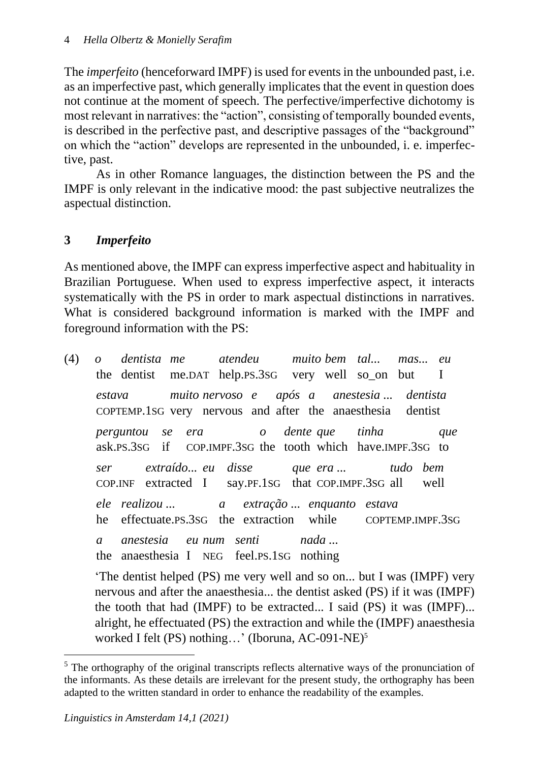The *imperfeito* (henceforward IMPF) is used for events in the unbounded past, i.e. as an imperfective past, which generally implicates that the event in question does not continue at the moment of speech. The perfective/imperfective dichotomy is most relevant in narratives: the "action", consisting of temporally bounded events, is described in the perfective past, and descriptive passages of the "background" on which the "action" develops are represented in the unbounded, i. e. imperfective, past.

As in other Romance languages, the distinction between the PS and the IMPF is only relevant in the indicative mood: the past subjective neutralizes the aspectual distinction.

## **3** *Imperfeito*

As mentioned above, the IMPF can express imperfective aspect and habituality in Brazilian Portuguese. When used to express imperfective aspect, it interacts systematically with the PS in order to mark aspectual distinctions in narratives. What is considered background information is marked with the IMPF and foreground information with the PS:

(4) *o dentista me atendeu muito bem tal... mas... eu* the dentist me.DAT help.PS.3SG very well so\_on but I *estava muito nervoso e após a anestesia ... dentista* COPTEMP.1SG very nervous and after the anaesthesia dentist *perguntou se era o dente que tinha que* ask.PS.3SG if COP.IMPF.3SG the tooth which have.IMPF.3SG to *ser extraído... eu disse que era ... tudo bem* COP.INF extracted I say.PF.1SG that COP.IMPF.3SG all well *ele realizou ... a extração ... enquanto estava* he effectuate.PS.3SG the extraction while COPTEMP.IMPF.3SG *a anestesia eu num senti nada ...* the anaesthesia I NEG feel.PS.1SG nothing 'The dentist helped (PS) me very well and so on... but I was (IMPF) very

nervous and after the anaesthesia... the dentist asked (PS) if it was (IMPF) the tooth that had (IMPF) to be extracted... I said (PS) it was (IMPF)... alright, he effectuated (PS) the extraction and while the (IMPF) anaesthesia worked I felt (PS) nothing…' (Iboruna, AC-091-NE)<sup>5</sup>

<sup>&</sup>lt;sup>5</sup> The orthography of the original transcripts reflects alternative ways of the pronunciation of the informants. As these details are irrelevant for the present study, the orthography has been adapted to the written standard in order to enhance the readability of the examples.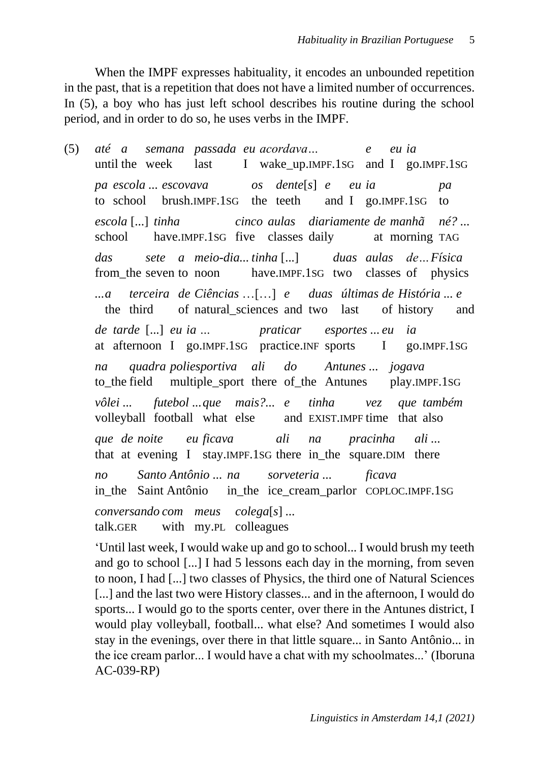When the IMPF expresses habituality, it encodes an unbounded repetition in the past, that is a repetition that does not have a limited number of occurrences. In (5), a boy who has just left school describes his routine during the school period, and in order to do so, he uses verbs in the IMPF.

(5) *até a semana passada eu acordava… e eu ia* until the week last I wake up.IMPF.1SG and I go.IMPF.1SG *pa escola ... escovava os dente*[*s*] *e eu ia pa* to school brush.IMPF.1SG the teeth and I go.IMPF.1SG to *escola* [...] *tinha cinco aulas diariamente de manhã né? ...* school have.IMPF.1SG five classes daily at morning TAG *das sete a meio-dia... tinha* [...] *duas aulas de…Física* from\_the seven to noon have.IMPF.1SG two classes of physics *...a terceira de Ciências* …[…] *e duas últimas de História ... e* the third of natural\_sciences and two last of history and *de tarde* [...] *eu ia … praticar esportes ... eu ia* at afternoon I go.IMPF.1SG practice.INF sports I go.IMPF.1SG *na quadra poliesportiva ali do Antunes ... jogava* to\_the field multiple\_sport there of\_the Antunes play.IMPF.1SG *vôlei ... futebol ...que mais?... e tinha vez que também* volleyball football what else and EXIST.IMPF time that also *que de noite eu ficava ali na pracinha ali ...* that at evening I stay.IMPF.1SG there in\_the square.DIM there *no Santo Antônio ... na sorveteria ... ficava* in the Saint Antônio in the ice cream parlor COPLOC.IMPF.1SG *conversando com meus colega*[*s*] *...* talk.GER with my.PL colleagues

'Until last week, I would wake up and go to school... I would brush my teeth and go to school [...] I had 5 lessons each day in the morning, from seven to noon, I had [...] two classes of Physics, the third one of Natural Sciences [...] and the last two were History classes... and in the afternoon, I would do sports... I would go to the sports center, over there in the Antunes district, I would play volleyball, football... what else? And sometimes I would also stay in the evenings, over there in that little square... in Santo Antônio... in the ice cream parlor... I would have a chat with my schoolmates...' (Iboruna AC-039-RP)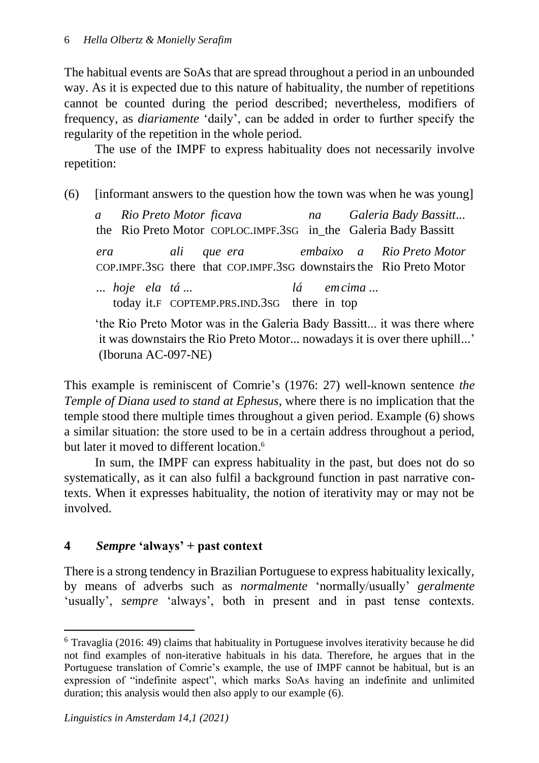The habitual events are SoAs that are spread throughout a period in an unbounded way. As it is expected due to this nature of habituality, the number of repetitions cannot be counted during the period described; nevertheless, modifiers of frequency, as *diariamente* 'daily', can be added in order to further specify the regularity of the repetition in the whole period.

The use of the IMPF to express habituality does not necessarily involve repetition:

(6) [informant answers to the question how the town was when he was young]

|             |  |                                                                    |  |  | a Rio Preto Motor ficava ha Galeria Bady Bassitt<br>the Rio Preto Motor COPLOC.IMPF.3sG in_the Galeria Bady Bassitt |
|-------------|--|--------------------------------------------------------------------|--|--|---------------------------------------------------------------------------------------------------------------------|
|             |  |                                                                    |  |  | era ali que era embaixo a Rio Preto Motor<br>COP.IMPF.3sG there that COP.IMPF.3sG downstairs the Rio Preto Motor    |
| hoje ela tá |  | $l\acute{a}$ emcima<br>today it.F COPTEMP.PRS.IND.3SG there in top |  |  |                                                                                                                     |

'the Rio Preto Motor was in the Galeria Bady Bassitt... it was there where it was downstairs the Rio Preto Motor... nowadays it is over there uphill...' (Iboruna AC-097-NE)

This example is reminiscent of Comrie's (1976: 27) well-known sentence *the Temple of Diana used to stand at Ephesus*, where there is no implication that the temple stood there multiple times throughout a given period. Example (6) shows a similar situation: the store used to be in a certain address throughout a period, but later it moved to different location.<sup>6</sup>

In sum, the IMPF can express habituality in the past, but does not do so systematically, as it can also fulfil a background function in past narrative contexts. When it expresses habituality, the notion of iterativity may or may not be involved.

## **4** *Sempre* **'always' + past context**

There is a strong tendency in Brazilian Portuguese to express habituality lexically, by means of adverbs such as *normalmente* 'normally/usually' *geralmente*  'usually', *sempre* 'always', both in present and in past tense contexts.

 $6$  Travaglia (2016: 49) claims that habituality in Portuguese involves iterativity because he did not find examples of non-iterative habituals in his data. Therefore, he argues that in the Portuguese translation of Comrie's example, the use of IMPF cannot be habitual, but is an expression of "indefinite aspect", which marks SoAs having an indefinite and unlimited duration; this analysis would then also apply to our example (6).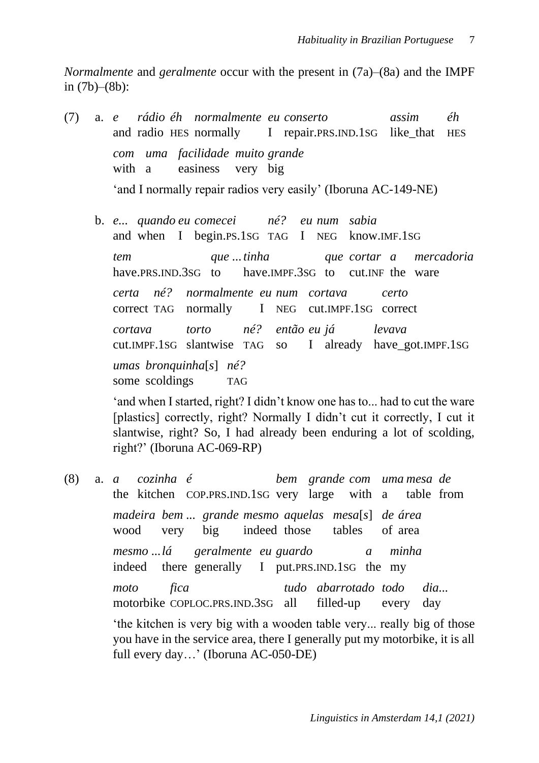*Normalmente* and *geralmente* occur with the present in (7a)–(8a) and the IMPF in (7b)–(8b):

- (7) a. *e rádio éh normalmente eu conserto assim éh* and radio HES normally I repair.PRS.IND.1SG like that HES *com uma facilidade muito grande* with a easiness very big 'and I normally repair radios very easily' (Iboruna AC-149-NE)
	- b. *e... quando eu comecei né? eu num sabia* and when I begin.PS.1SG TAG I NEG know.IMF.1SG *tem que ...tinha que cortar a mercadoria* have.PRS.IND.3SG to have.IMPF.3SG to cut.INF the ware *certa né? normalmente eu num cortava certo* correct TAG normally I NEG cut.IMPF.1SG correct *cortava torto né? então eu já levava* cut.IMPF.1SG slantwise TAG so I already have\_got.IMPF.1SG *umas bronquinha*[*s*] *né?* some scoldings TAG

'and when I started, right? I didn't know one has to... had to cut the ware [plastics] correctly, right? Normally I didn't cut it correctly, I cut it slantwise, right? So, I had already been enduring a lot of scolding, right?' (Iboruna AC-069-RP)

(8) a. *a cozinha é bem grande com uma mesa de* the kitchen COP.PRS.IND.1SG very large with a table from *madeira bem ... grande mesmo aquelas mesa*[*s*] *de área* wood very big indeed those tables of area *mesmo ...lá geralmente eu guardo a minha* indeed there generally I put.PRS.IND.1SG the my *moto fica tudo abarrotado todo dia...* motorbike COPLOC.PRS.IND.3SG all filled-up every day 'the kitchen is very big with a wooden table very... really big of those you have in the service area, there I generally put my motorbike, it is all full every day…' (Iboruna AC-050-DE)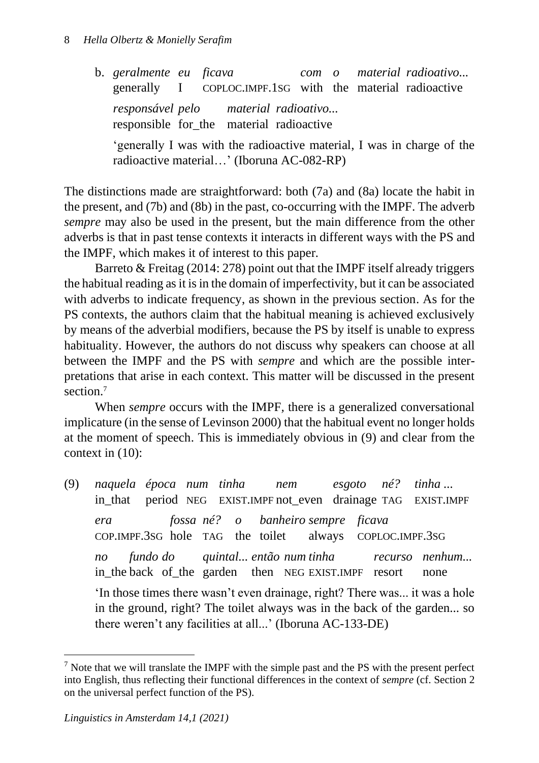b. *geralmente eu ficava com o material radioativo...* generally I COPLOC.IMPF.1SG with the material radioactive *responsável pelo material radioativo...*  responsible for the material radioactive 'generally I was with the radioactive material, I was in charge of the radioactive material…' (Iboruna AC-082-RP)

The distinctions made are straightforward: both (7a) and (8a) locate the habit in the present, and (7b) and (8b) in the past, co-occurring with the IMPF. The adverb *sempre* may also be used in the present, but the main difference from the other adverbs is that in past tense contexts it interacts in different ways with the PS and the IMPF, which makes it of interest to this paper*.*

Barreto & Freitag (2014: 278) point out that the IMPF itself already triggers the habitual reading as it is in the domain of imperfectivity, but it can be associated with adverbs to indicate frequency, as shown in the previous section. As for the PS contexts, the authors claim that the habitual meaning is achieved exclusively by means of the adverbial modifiers, because the PS by itself is unable to express habituality. However, the authors do not discuss why speakers can choose at all between the IMPF and the PS with *sempre* and which are the possible interpretations that arise in each context. This matter will be discussed in the present section.<sup>7</sup>

When *sempre* occurs with the IMPF*,* there is a generalized conversational implicature (in the sense of Levinson 2000) that the habitual event no longer holds at the moment of speech. This is immediately obvious in (9) and clear from the context in (10):

(9) *naquela época num tinha nem esgoto né? tinha ...* in\_that period NEG EXIST.IMPF not\_even drainage TAG EXIST.IMPF *era fossa né? o banheiro sempre ficava* COP.IMPF.3SG hole TAG the toilet always COPLOC.IMPF.3SG *no fundo do quintal... então num tinha recurso nenhum...*  in the back of the garden then NEG EXIST. IMPF resort none 'In those times there wasn't even drainage, right? There was... it was a hole in the ground, right? The toilet always was in the back of the garden... so there weren't any facilities at all...' (Iboruna AC-133-DE)

 $<sup>7</sup>$  Note that we will translate the IMPF with the simple past and the PS with the present perfect</sup> into English, thus reflecting their functional differences in the context of *sempre* (cf. Section 2 on the universal perfect function of the PS).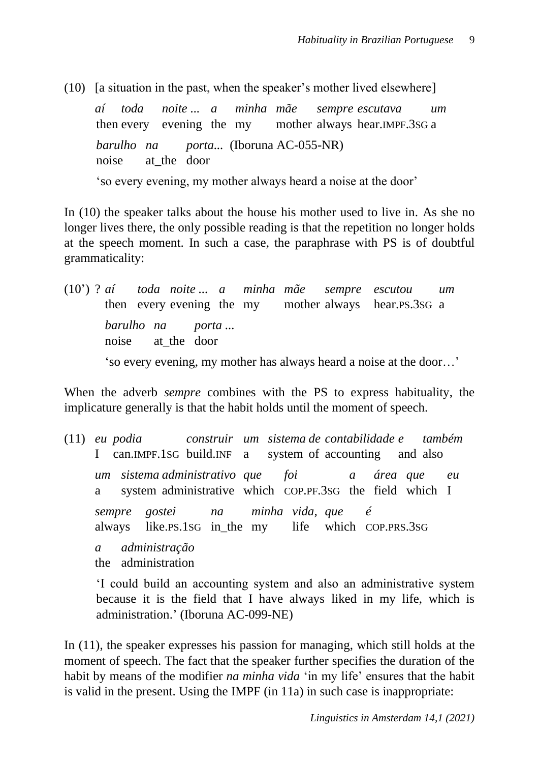(10) [a situation in the past, when the speaker's mother lived elsewhere]

*aí toda noite ... a minha mãe sempre escutava um* then every evening the my mother always hear.IMPF.3SG a *barulho na porta...* (Iboruna AC-055-NR) noise at\_the door 'so every evening, my mother always heard a noise at the door'

In (10) the speaker talks about the house his mother used to live in. As she no longer lives there, the only possible reading is that the repetition no longer holds at the speech moment. In such a case, the paraphrase with PS is of doubtful grammaticality:

(10') ? *aí toda noite ... a minha mãe sempre escutou um* then every evening the my mother always hear.PS.3SG a *barulho na porta ...* noise at\_the door 'so every evening, my mother has always heard a noise at the door…'

When the adverb *sempre* combines with the PS to express habituality, the implicature generally is that the habit holds until the moment of speech.

(11) *eu podia construir um sistema de contabilidade e também* I can.IMPF.1SG build.INF a system of accounting and also *um sistema administrativo que foi a área que eu* a system administrative which COP.PF.3SG the field which I *sempre gostei na minha vida, que é* always like.PS.1SG in\_the my life which COP.PRS.3SG *a administração* the administration

'I could build an accounting system and also an administrative system because it is the field that I have always liked in my life, which is administration.' (Iboruna AC-099-NE)

In (11), the speaker expresses his passion for managing, which still holds at the moment of speech. The fact that the speaker further specifies the duration of the habit by means of the modifier *na minha vida* 'in my life' ensures that the habit is valid in the present. Using the IMPF (in 11a) in such case is inappropriate: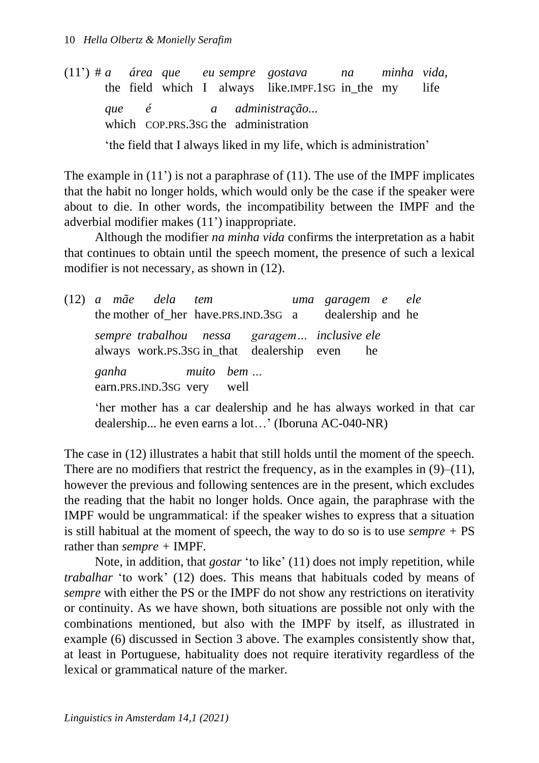(11') # *a área que eu sempre gostava na minha vida,* the field which I always like.IMPF.1SG in\_the my life *que é a administração...* which COP.PRS.3sG the administration

'the field that I always liked in my life, which is administration'

The example in (11') is not a paraphrase of (11). The use of the IMPF implicates that the habit no longer holds, which would only be the case if the speaker were about to die. In other words, the incompatibility between the IMPF and the adverbial modifier makes (11') inappropriate.

Although the modifier *na minha vida* confirms the interpretation as a habit that continues to obtain until the speech moment, the presence of such a lexical modifier is not necessary, as shown in (12).

(12) *a mãe dela tem uma garagem e ele* the mother of her have.PRS.IND.3sG a dealership and he *sempre trabalhou nessa garagem… inclusive ele* always work.PS.3SG in\_that dealership even he *ganha muito bem …* earn.PRS.IND.3SG very well

'her mother has a car dealership and he has always worked in that car dealership... he even earns a lot…' (Iboruna AC-040-NR)

The case in (12) illustrates a habit that still holds until the moment of the speech. There are no modifiers that restrict the frequency, as in the examples in  $(9)$ – $(11)$ , however the previous and following sentences are in the present, which excludes the reading that the habit no longer holds. Once again, the paraphrase with the IMPF would be ungrammatical: if the speaker wishes to express that a situation is still habitual at the moment of speech, the way to do so is to use *sempre +* PS rather than *sempre +* IMPF.

Note, in addition, that *gostar* 'to like' (11) does not imply repetition, while *trabalhar* 'to work' (12) does. This means that habituals coded by means of *sempre* with either the PS or the IMPF do not show any restrictions on iterativity or continuity. As we have shown, both situations are possible not only with the combinations mentioned, but also with the IMPF by itself, as illustrated in example (6) discussed in Section 3 above. The examples consistently show that, at least in Portuguese, habituality does not require iterativity regardless of the lexical or grammatical nature of the marker.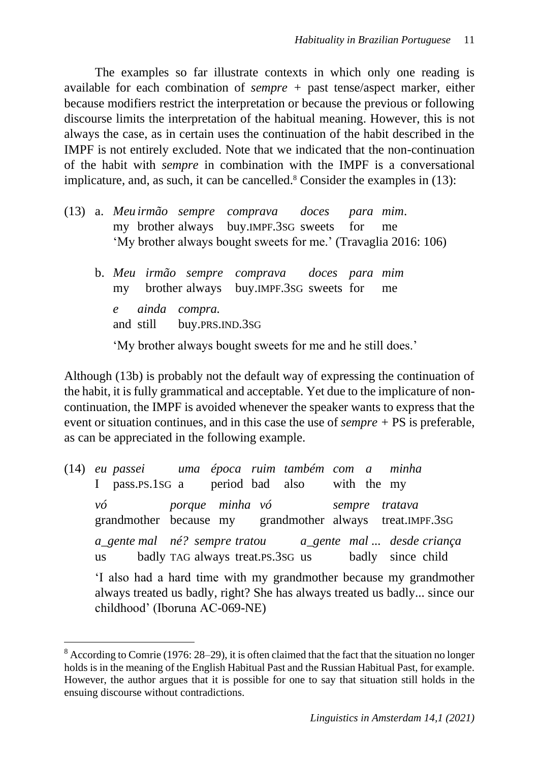The examples so far illustrate contexts in which only one reading is available for each combination of *sempre +* past tense/aspect marker, either because modifiers restrict the interpretation or because the previous or following discourse limits the interpretation of the habitual meaning. However, this is not always the case, as in certain uses the continuation of the habit described in the IMPF is not entirely excluded. Note that we indicated that the non-continuation of the habit with *sempre* in combination with the IMPF is a conversational implicature, and, as such, it can be cancelled. $8$  Consider the examples in (13):

- (13) a. *Meu irmão sempre comprava doces para mim*. my brother always buy.IMPF.3SG sweets for me 'My brother always bought sweets for me.' (Travaglia 2016: 106)
	- b. *Meu irmão sempre comprava doces para mim* my brother always buy.IMPF.3SG sweets for me *e ainda compra.* and still buy.PRS.IND.3SG 'My brother always bought sweets for me and he still does.'

Although (13b) is probably not the default way of expressing the continuation of the habit, it is fully grammatical and acceptable. Yet due to the implicature of noncontinuation, the IMPF is avoided whenever the speaker wants to express that the event or situation continues, and in this case the use of *sempre +* PS is preferable, as can be appreciated in the following example.

(14) *eu passei uma época ruim também com a minha* I pass.PS.1SG a period bad also with the my *vó porque minha vó sempre tratava* grandmother because my grandmother always treat.IMPF.3SG *a\_gente mal né? sempre tratou a\_gente mal ... desde criança* us badly TAG always treat.PS.3SG us badly since child 'I also had a hard time with my grandmother because my grandmother always treated us badly, right? She has always treated us badly... since our childhood' (Iboruna AC-069-NE)

<sup>8</sup> According to Comrie (1976: 28–29), it is often claimed that the fact that the situation no longer holds is in the meaning of the English Habitual Past and the Russian Habitual Past, for example. However, the author argues that it is possible for one to say that situation still holds in the ensuing discourse without contradictions.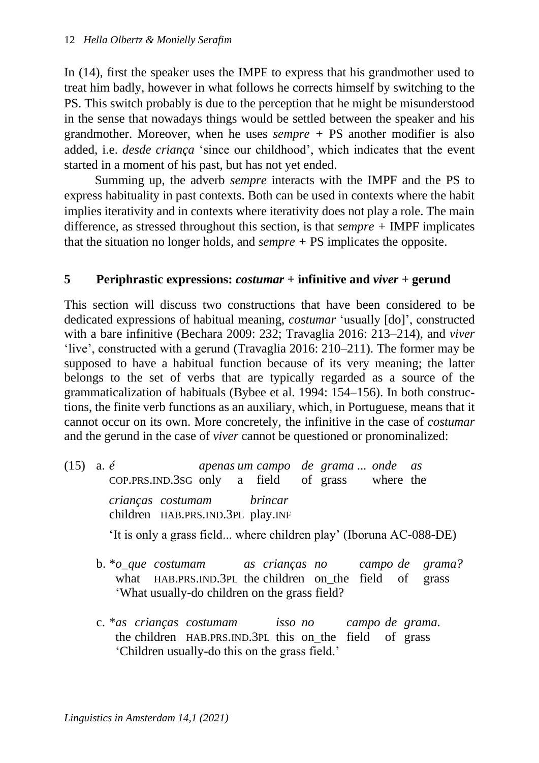In (14), first the speaker uses the IMPF to express that his grandmother used to treat him badly, however in what follows he corrects himself by switching to the PS. This switch probably is due to the perception that he might be misunderstood in the sense that nowadays things would be settled between the speaker and his grandmother. Moreover, when he uses *sempre +* PS another modifier is also added, i.e. *desde criança* 'since our childhood', which indicates that the event started in a moment of his past, but has not yet ended.

Summing up, the adverb *sempre* interacts with the IMPF and the PS to express habituality in past contexts. Both can be used in contexts where the habit implies iterativity and in contexts where iterativity does not play a role. The main difference, as stressed throughout this section, is that *sempre +* IMPF implicates that the situation no longer holds, and *sempre +* PS implicates the opposite.

## **5 Periphrastic expressions:** *costumar* **+ infinitive and** *viver* **+ gerund**

This section will discuss two constructions that have been considered to be dedicated expressions of habitual meaning, *costumar* 'usually [do]', constructed with a bare infinitive (Bechara 2009: 232; Travaglia 2016: 213–214), and *viver* 'live', constructed with a gerund (Travaglia 2016: 210–211). The former may be supposed to have a habitual function because of its very meaning; the latter belongs to the set of verbs that are typically regarded as a source of the grammaticalization of habituals (Bybee et al. 1994: 154–156). In both constructions, the finite verb functions as an auxiliary, which, in Portuguese, means that it cannot occur on its own. More concretely, the infinitive in the case of *costumar*  and the gerund in the case of *viver* cannot be questioned or pronominalized:

- (15) a. *é apenas um campo de grama ... onde as* COP.PRS.IND.3SG only a field of grass where the *crianças costumam brincar*  children HAB.PRS.IND.3PL play.INF 'It is only a grass field... where children play' (Iboruna AC-088-DE)
	- b. \**o\_que costumam as crianças no campo de grama?* what HAB.PRS.IND.3PL the children on\_the field of grass 'What usually-do children on the grass field?
	- c. \**as crianças costumam isso no campo de grama.* the children HAB.PRS.IND.3PL this on\_the field of grass 'Children usually-do this on the grass field.'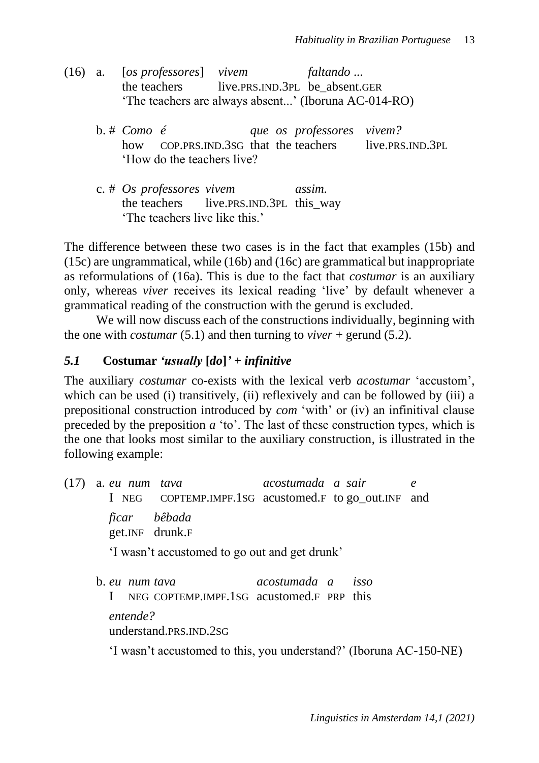- (16) a. [*os professores*] *vivem faltando* ... the teachers live.PRS.IND.3PL be\_absent.GER 'The teachers are always absent...' (Iboruna AC-014-RO)
	- b. # *Como é que os professores vivem?* how COP.PRS.IND.3sG that the teachers live.PRS.IND.3PL 'How do the teachers live?
	- c. # *Os professores vivem assim.* the teachers live.PRS.IND.3PL this way 'The teachers live like this.'

The difference between these two cases is in the fact that examples (15b) and (15c) are ungrammatical, while (16b) and (16c) are grammatical but inappropriate as reformulations of (16a). This is due to the fact that *costumar* is an auxiliary only, whereas *viver* receives its lexical reading 'live' by default whenever a grammatical reading of the construction with the gerund is excluded.

We will now discuss each of the constructions individually, beginning with the one with *costumar* (5.1) and then turning to *viver* + gerund (5.2).

## *5.1* **Costumar** *'usually* **[***do***]***' + infinitive*

The auxiliary *costumar* co-exists with the lexical verb *acostumar* 'accustom', which can be used (i) transitively, (ii) reflexively and can be followed by (iii) a prepositional construction introduced by *com* 'with' or (iv) an infinitival clause preceded by the preposition *a* 'to'. The last of these construction types, which is the one that looks most similar to the auxiliary construction, is illustrated in the following example:

(17) a. *eu num tava acostumada a sair e* I NEG COPTEMP.IMPF.1SG acustomed.F to go\_out.INF and *ficar bêbada* get.INF drunk.F 'I wasn't accustomed to go out and get drunk' b. *eu num tava acostumada a isso* I NEG COPTEMP.IMPF.1SG acustomed.F PRP this *entende?* understand.PRS.IND.2SG

'I wasn't accustomed to this, you understand?' (Iboruna AC-150-NE)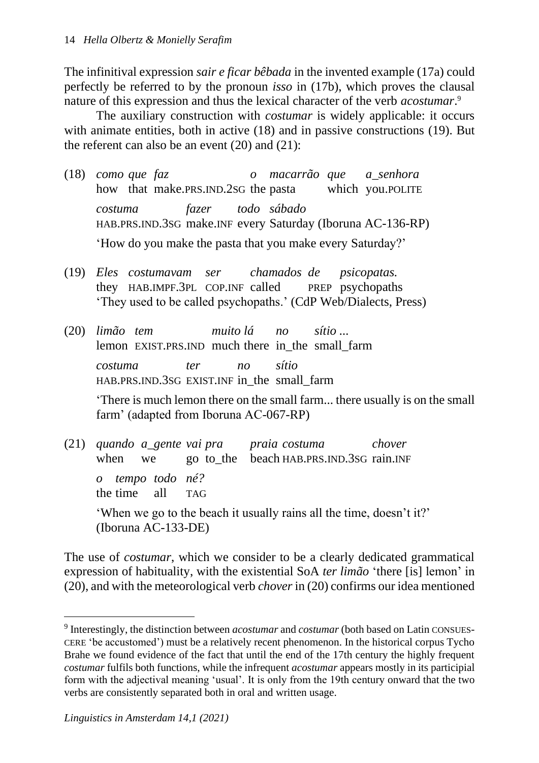The infinitival expression *sair e ficar bêbada* in the invented example (17a) could perfectly be referred to by the pronoun *isso* in (17b), which proves the clausal nature of this expression and thus the lexical character of the verb *acostumar*.<sup>9</sup>

The auxiliary construction with *costumar* is widely applicable: it occurs with animate entities, both in active (18) and in passive constructions (19). But the referent can also be an event (20) and (21):

- (18) *como que faz o macarrão que a\_senhora* how that make.PRS.IND.2sG the pasta which you.POLITE *costuma fazer todo sábado*  HAB.PRS.IND.3SG make.INF every Saturday (Iboruna AC-136-RP) 'How do you make the pasta that you make every Saturday?'
- (19) *Eles costumavam ser chamados de psicopatas.* they HAB.IMPF.3PL COP.INF called PREP psychopaths 'They used to be called psychopaths.' (CdP Web/Dialects, Press)
- (20) *limão tem muito lá no sítio ...* lemon EXIST.PRS.IND much there in\_the small\_farm *costuma ter no sítio*  HAB.PRS.IND.3SG EXIST.INF in\_the small\_farm

'There is much lemon there on the small farm... there usually is on the small farm' (adapted from Iboruna AC-067-RP)

(21) *quando a\_gente vai pra praia costuma chover* when we go to the beach HAB.PRS.IND.3SG rain.INF *o tempo todo né?* the time all TAG 'When we go to the beach it usually rains all the time, doesn't it?' (Iboruna AC-133-DE)

The use of *costumar*, which we consider to be a clearly dedicated grammatical expression of habituality, with the existential SoA *ter limão* 'there [is] lemon' in (20), and with the meteorological verb *chover* in (20) confirms our idea mentioned

<sup>9</sup> Interestingly, the distinction between *acostumar* and *costumar* (both based on Latin CONSUES-CERE 'be accustomed') must be a relatively recent phenomenon. In the historical corpus Tycho Brahe we found evidence of the fact that until the end of the 17th century the highly frequent *costumar* fulfils both functions, while the infrequent *acostumar* appears mostly in its participial form with the adjectival meaning 'usual'. It is only from the 19th century onward that the two verbs are consistently separated both in oral and written usage.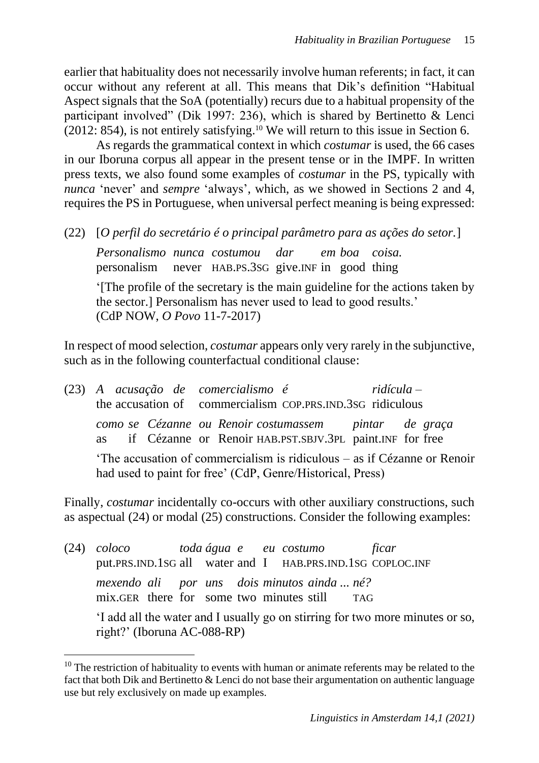earlier that habituality does not necessarily involve human referents; in fact, it can occur without any referent at all. This means that Dik's definition "Habitual Aspect signals that the SoA (potentially) recurs due to a habitual propensity of the participant involved" (Dik 1997: 236), which is shared by Bertinetto & Lenci  $(2012: 854)$ , is not entirely satisfying.<sup>10</sup> We will return to this issue in Section 6.

As regards the grammatical context in which *costumar* is used, the 66 cases in our Iboruna corpus all appear in the present tense or in the IMPF. In written press texts, we also found some examples of *costumar* in the PS, typically with *nunca* 'never' and *sempre* 'always', which, as we showed in Sections 2 and 4, requires the PS in Portuguese, when universal perfect meaning is being expressed:

(22) [*O perfil do secretário é o principal parâmetro para as ações do setor.*]

*Personalismo nunca costumou dar em boa coisa.* personalism never HAB.PS.3SG give.INF in good thing

'[The profile of the secretary is the main guideline for the actions taken by the sector.] Personalism has never used to lead to good results.' (CdP NOW, *O Povo* 11-7-2017)

In respect of mood selection, *costumar* appears only very rarely in the subjunctive, such as in the following counterfactual conditional clause:

| (23) A acusação de comercialismo é<br>the accusation of commercialism COP.PRS.IND.3SG ridiculous |  |  |  |  |                                                                                                                      | $ridícula -$ |  |  |
|--------------------------------------------------------------------------------------------------|--|--|--|--|----------------------------------------------------------------------------------------------------------------------|--------------|--|--|
|                                                                                                  |  |  |  |  | como se Cézanne ou Renoir costumassem pintar de graça<br>as if Cézanne or Renoir HAB.PST.SBJV.3PL paint.INF for free |              |  |  |
| 'The accusation of commercialism is ridiculous – as if Cézanne or Renoir                         |  |  |  |  |                                                                                                                      |              |  |  |

had used to paint for free' (CdP, Genre/Historical, Press)

Finally, *costumar* incidentally co-occurs with other auxiliary constructions, such as aspectual (24) or modal (25) constructions. Consider the following examples:

(24) *coloco toda água e eu costumo ficar* put.PRS.IND.1SG all water and I HAB.PRS.IND.1SG COPLOC.INF *mexendo ali por uns dois minutos ainda ... né?*  mix.GER there for some two minutes still TAG

'I add all the water and I usually go on stirring for two more minutes or so, right?' (Iboruna AC-088-RP)

 $10$  The restriction of habituality to events with human or animate referents may be related to the fact that both Dik and Bertinetto & Lenci do not base their argumentation on authentic language use but rely exclusively on made up examples.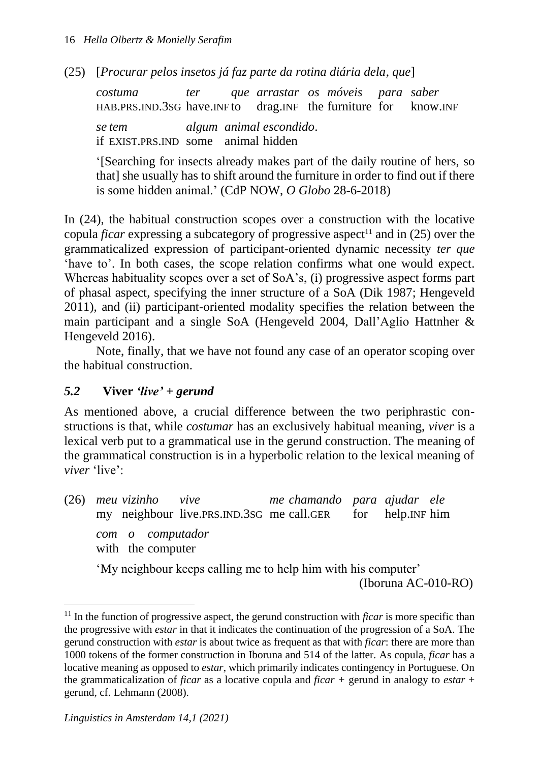(25) [*Procurar pelos insetos já faz parte da rotina diária dela*, *que*]

*costuma ter que arrastar os móveis para saber* HAB.PRS.IND.3SG have.INF to drag.INF the furniture for know.INF *se tem algum animal escondido*. if EXIST.PRS.IND some animal hidden

'[Searching for insects already makes part of the daily routine of hers, so that] she usually has to shift around the furniture in order to find out if there is some hidden animal.' (CdP NOW, *O Globo* 28-6-2018)

In (24), the habitual construction scopes over a construction with the locative copula *ficar* expressing a subcategory of progressive aspect<sup>11</sup> and in (25) over the grammaticalized expression of participant-oriented dynamic necessity *ter que*  'have to'. In both cases, the scope relation confirms what one would expect. Whereas habituality scopes over a set of SoA's, (i) progressive aspect forms part of phasal aspect, specifying the inner structure of a SoA (Dik 1987; Hengeveld 2011), and (ii) participant-oriented modality specifies the relation between the main participant and a single SoA (Hengeveld 2004, Dall'Aglio Hattnher & Hengeveld 2016).

Note, finally, that we have not found any case of an operator scoping over the habitual construction.

## *5.2* **Viver** *'live' + gerund*

As mentioned above, a crucial difference between the two periphrastic constructions is that, while *costumar* has an exclusively habitual meaning, *viver* is a lexical verb put to a grammatical use in the gerund construction. The meaning of the grammatical construction is in a hyperbolic relation to the lexical meaning of *viver* 'live':

(26) *meu vizinho vive me chamando para ajudar ele* my neighbour live.PRS.IND.3SG me call.GER for help.INF him *com o computador* with the computer

'My neighbour keeps calling me to help him with his computer'

(Iboruna AC-010-RO)

<sup>&</sup>lt;sup>11</sup> In the function of progressive aspect, the gerund construction with *ficar* is more specific than the progressive with *estar* in that it indicates the continuation of the progression of a SoA. The gerund construction with *estar* is about twice as frequent as that with *ficar*: there are more than 1000 tokens of the former construction in Iboruna and 514 of the latter*.* As copula, *ficar* has a locative meaning as opposed to *estar*, which primarily indicates contingency in Portuguese. On the grammaticalization of *ficar* as a locative copula and *ficar +* gerund in analogy to *estar* + gerund, cf. Lehmann (2008).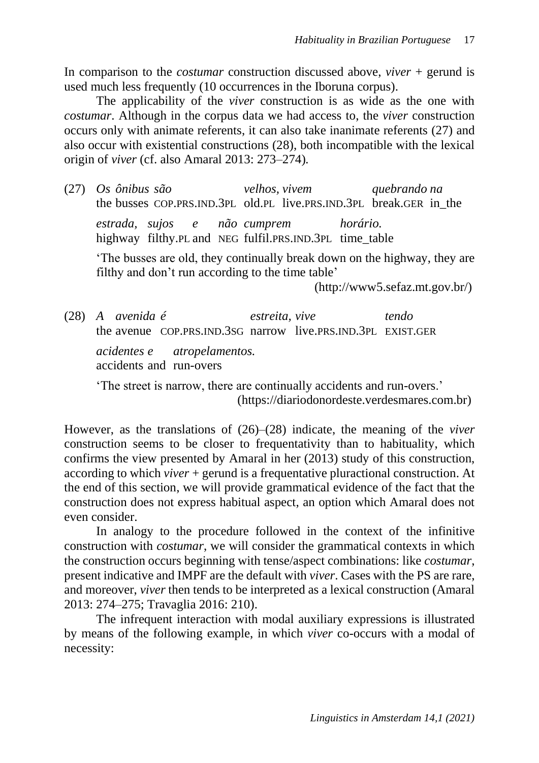In comparison to the *costumar* construction discussed above, *viver* + gerund is used much less frequently (10 occurrences in the Iboruna corpus).

The applicability of the *viver* construction is as wide as the one with *costumar*. Although in the corpus data we had access to, the *viver* construction occurs only with animate referents, it can also take inanimate referents (27) and also occur with existential constructions (28), both incompatible with the lexical origin of *viver* (cf. also Amaral 2013: 273–274)*.*

(27) *Os ônibus são velhos, vivem quebrando na* the busses COP.PRS.IND.3PL old.PL live.PRS.IND.3PL break.GER in\_the

*estrada, sujos e não cumprem horário.* highway filthy.PL and NEG fulfil.PRS.IND.3PL time\_table

'The busses are old, they continually break down on the highway, they are filthy and don't run according to the time table'

(http://www5.sefaz.mt.gov.br/)

(28) *A avenida é estreita, vive tendo* the avenue COP.PRS.IND.3SG narrow live.PRS.IND.3PL EXIST.GER

*acidentes e atropelamentos.* accidents and run-overs

'The street is narrow, there are continually accidents and run-overs.' (https://diariodonordeste.verdesmares.com.br)

However, as the translations of (26)–(28) indicate, the meaning of the *viver*  construction seems to be closer to frequentativity than to habituality, which confirms the view presented by Amaral in her (2013) study of this construction, according to which *viver* + gerund is a frequentative pluractional construction. At the end of this section, we will provide grammatical evidence of the fact that the construction does not express habitual aspect, an option which Amaral does not even consider.

In analogy to the procedure followed in the context of the infinitive construction with *costumar*, we will consider the grammatical contexts in which the construction occurs beginning with tense/aspect combinations: like *costumar*, present indicative and IMPF are the default with *viver*. Cases with the PS are rare, and moreover, *viver* then tends to be interpreted as a lexical construction (Amaral 2013: 274–275; Travaglia 2016: 210).

The infrequent interaction with modal auxiliary expressions is illustrated by means of the following example, in which *viver* co-occurs with a modal of necessity: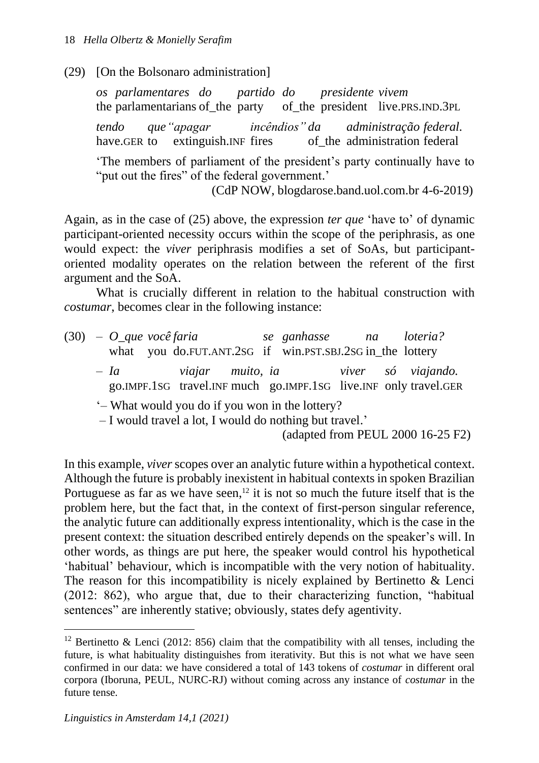(29) [On the Bolsonaro administration]

*os parlamentares do partido do presidente vivem* the parlamentarians of the party of the president live.PRS.IND.3PL *tendo que"apagar incêndios" da administração federal.* have.GER to extinguish. INF fires of the administration federal 'The members of parliament of the president's party continually have to "put out the fires" of the federal government.' (CdP NOW, blogdarose.band.uol.com.br 4-6-2019)

Again, as in the case of (25) above, the expression *ter que* 'have to' of dynamic participant-oriented necessity occurs within the scope of the periphrasis, as one would expect: the *viver* periphrasis modifies a set of SoAs, but participantoriented modality operates on the relation between the referent of the first argument and the SoA.

What is crucially different in relation to the habitual construction with *costumar*, becomes clear in the following instance:

|  | $(30) - O$ que você faria |  |  | se ganhasse na loteria?<br>what you do.FUT.ANT.2sG if win.PST.SBJ.2sG in the lottery                                   |  |                                                                  |
|--|---------------------------|--|--|------------------------------------------------------------------------------------------------------------------------|--|------------------------------------------------------------------|
|  |                           |  |  |                                                                                                                        |  | go.IMPF.1SG travel.INF much go.IMPF.1SG live.INF only travel.GER |
|  |                           |  |  | '– What would you do if you won in the lottery?<br>$\mathbf{r}$ and a state and the state of the state of $\mathbf{r}$ |  |                                                                  |

– I would travel a lot, I would do nothing but travel.'

(adapted from PEUL 2000 16-25 F2)

In this example, *viver* scopes over an analytic future within a hypothetical context. Although the future is probably inexistent in habitual contexts in spoken Brazilian Portuguese as far as we have seen,<sup>12</sup> it is not so much the future itself that is the problem here, but the fact that, in the context of first-person singular reference, the analytic future can additionally express intentionality, which is the case in the present context: the situation described entirely depends on the speaker's will. In other words, as things are put here, the speaker would control his hypothetical 'habitual' behaviour, which is incompatible with the very notion of habituality. The reason for this incompatibility is nicely explained by Bertinetto & Lenci (2012: 862), who argue that, due to their characterizing function, "habitual sentences" are inherently stative; obviously, states defy agentivity.

<sup>&</sup>lt;sup>12</sup> Bertinetto & Lenci (2012: 856) claim that the compatibility with all tenses, including the future, is what habituality distinguishes from iterativity. But this is not what we have seen confirmed in our data: we have considered a total of 143 tokens of *costumar* in different oral corpora (Iboruna, PEUL, NURC-RJ) without coming across any instance of *costumar* in the future tense.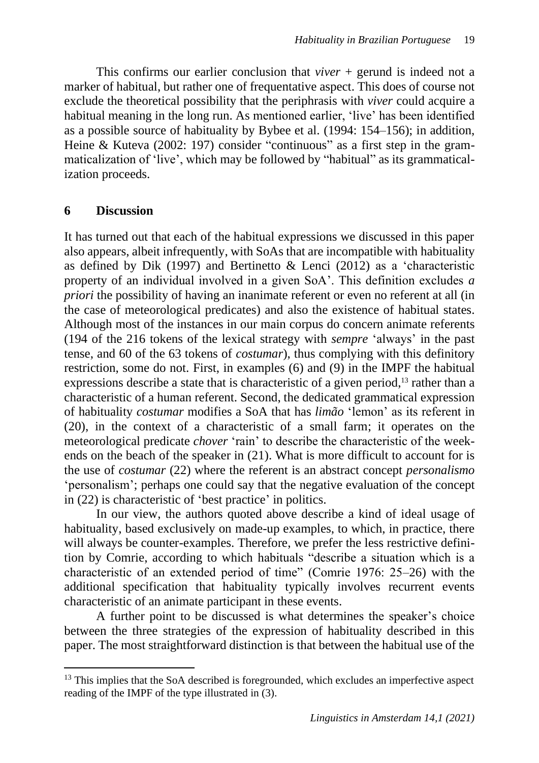This confirms our earlier conclusion that *viver* + gerund is indeed not a marker of habitual, but rather one of frequentative aspect. This does of course not exclude the theoretical possibility that the periphrasis with *viver* could acquire a habitual meaning in the long run. As mentioned earlier, 'live' has been identified as a possible source of habituality by Bybee et al. (1994: 154–156); in addition, Heine & Kuteva (2002: 197) consider "continuous" as a first step in the grammaticalization of 'live', which may be followed by "habitual" as its grammaticalization proceeds.

### **6 Discussion**

It has turned out that each of the habitual expressions we discussed in this paper also appears, albeit infrequently, with SoAs that are incompatible with habituality as defined by Dik (1997) and Bertinetto & Lenci (2012) as a 'characteristic property of an individual involved in a given SoA'. This definition excludes *a priori* the possibility of having an inanimate referent or even no referent at all (in the case of meteorological predicates) and also the existence of habitual states. Although most of the instances in our main corpus do concern animate referents (194 of the 216 tokens of the lexical strategy with *sempre* 'always' in the past tense, and 60 of the 63 tokens of *costumar*), thus complying with this definitory restriction, some do not. First, in examples (6) and (9) in the IMPF the habitual expressions describe a state that is characteristic of a given period,<sup>13</sup> rather than a characteristic of a human referent. Second, the dedicated grammatical expression of habituality *costumar* modifies a SoA that has *limão* 'lemon' as its referent in (20), in the context of a characteristic of a small farm; it operates on the meteorological predicate *chover* 'rain' to describe the characteristic of the weekends on the beach of the speaker in (21). What is more difficult to account for is the use of *costumar* (22) where the referent is an abstract concept *personalismo* 'personalism'; perhaps one could say that the negative evaluation of the concept in (22) is characteristic of 'best practice' in politics.

In our view, the authors quoted above describe a kind of ideal usage of habituality, based exclusively on made-up examples, to which, in practice, there will always be counter-examples. Therefore, we prefer the less restrictive definition by Comrie, according to which habituals "describe a situation which is a characteristic of an extended period of time" (Comrie 1976: 25–26) with the additional specification that habituality typically involves recurrent events characteristic of an animate participant in these events.

A further point to be discussed is what determines the speaker's choice between the three strategies of the expression of habituality described in this paper. The most straightforward distinction is that between the habitual use of the

<sup>&</sup>lt;sup>13</sup> This implies that the SoA described is foregrounded, which excludes an imperfective aspect reading of the IMPF of the type illustrated in (3).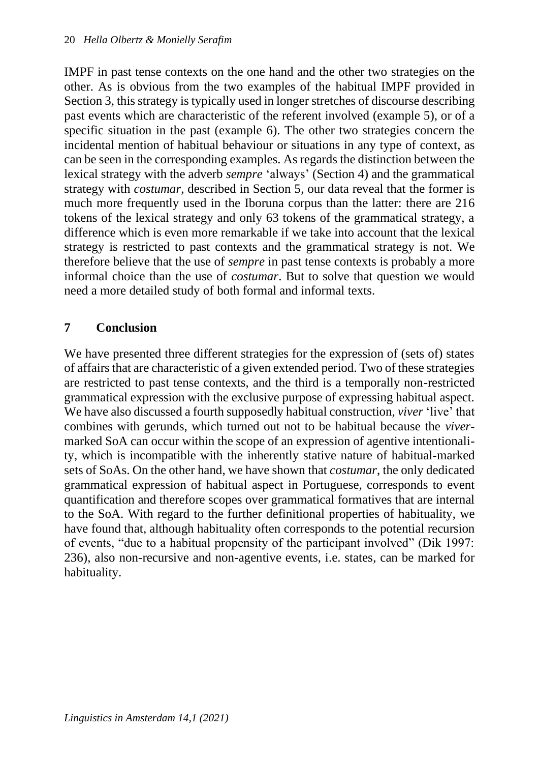IMPF in past tense contexts on the one hand and the other two strategies on the other. As is obvious from the two examples of the habitual IMPF provided in Section 3, this strategy is typically used in longer stretches of discourse describing past events which are characteristic of the referent involved (example 5), or of a specific situation in the past (example 6). The other two strategies concern the incidental mention of habitual behaviour or situations in any type of context, as can be seen in the corresponding examples. As regards the distinction between the lexical strategy with the adverb *sempre* 'always' (Section 4) and the grammatical strategy with *costumar*, described in Section 5, our data reveal that the former is much more frequently used in the Iboruna corpus than the latter: there are 216 tokens of the lexical strategy and only 63 tokens of the grammatical strategy, a difference which is even more remarkable if we take into account that the lexical strategy is restricted to past contexts and the grammatical strategy is not. We therefore believe that the use of *sempre* in past tense contexts is probably a more informal choice than the use of *costumar*. But to solve that question we would need a more detailed study of both formal and informal texts.

## **7 Conclusion**

We have presented three different strategies for the expression of (sets of) states of affairs that are characteristic of a given extended period. Two of these strategies are restricted to past tense contexts, and the third is a temporally non-restricted grammatical expression with the exclusive purpose of expressing habitual aspect. We have also discussed a fourth supposedly habitual construction, *viver* 'live' that combines with gerunds, which turned out not to be habitual because the *viver*marked SoA can occur within the scope of an expression of agentive intentionality, which is incompatible with the inherently stative nature of habitual-marked sets of SoAs. On the other hand, we have shown that *costumar*, the only dedicated grammatical expression of habitual aspect in Portuguese, corresponds to event quantification and therefore scopes over grammatical formatives that are internal to the SoA. With regard to the further definitional properties of habituality, we have found that, although habituality often corresponds to the potential recursion of events, "due to a habitual propensity of the participant involved" (Dik 1997: 236), also non-recursive and non-agentive events, i.e. states, can be marked for habituality.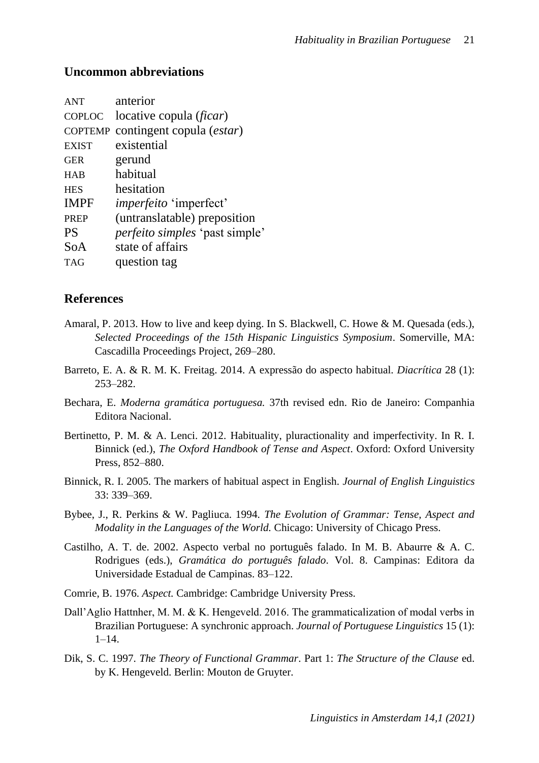#### **Uncommon abbreviations**

| <b>ANT</b>     | anterior                              |
|----------------|---------------------------------------|
| COPLOC         | locative copula ( <i>ficar</i> )      |
| <b>COPTEMP</b> | contingent copula ( <i>estar</i> )    |
| <b>EXIST</b>   | existential                           |
| <b>GER</b>     | gerund                                |
| <b>HAB</b>     | habitual                              |
| <b>HES</b>     | hesitation                            |
| <b>IMPF</b>    | <i>imperfeito</i> 'imperfect'         |
| <b>PREP</b>    | (untranslatable) preposition          |
| <b>PS</b>      | <i>perfeito simples</i> 'past simple' |
| SoA            | state of affairs                      |
| <b>TAG</b>     | question tag                          |

#### **References**

- Amaral, P. 2013. How to live and keep dying. In S. Blackwell, C. Howe & M. Quesada (eds.), *Selected Proceedings of the 15th Hispanic Linguistics Symposium*. Somerville, MA: Cascadilla Proceedings Project, 269–280.
- Barreto, E. A. & R. M. K. Freitag. 2014. A expressão do aspecto habitual. *Diacrítica* 28 (1): 253–282.
- Bechara, E. *Moderna gramática portuguesa.* 37th revised edn. Rio de Janeiro: Companhia Editora Nacional.
- Bertinetto, P. M. & A. Lenci. 2012. Habituality, pluractionality and imperfectivity. In R. I. Binnick (ed.), *The Oxford Handbook of Tense and Aspect*. Oxford: Oxford University Press, 852–880.
- Binnick, R. I. 2005. The markers of habitual aspect in English. *Journal of English Linguistics* 33: 339–369.
- Bybee, J., R. Perkins & W. Pagliuca. 1994. *The Evolution of Grammar: Tense, Aspect and Modality in the Languages of the World.* Chicago: University of Chicago Press.
- Castilho, A. T. de. 2002. Aspecto verbal no português falado. In M. B. Abaurre & A. C. Rodrigues (eds.), *Gramática do português falado*. Vol. 8. Campinas: Editora da Universidade Estadual de Campinas. 83–122.
- Comrie, B. 1976. *Aspect.* Cambridge: Cambridge University Press.
- Dall'Aglio Hattnher, M. M. & K. Hengeveld. 2016. The grammaticalization of modal verbs in Brazilian Portuguese: A synchronic approach. *Journal of Portuguese Linguistics* 15 (1): 1–14.
- Dik, S. C. 1997. *The Theory of Functional Grammar*. Part 1: *The Structure of the Clause* ed. by K. Hengeveld. Berlin: Mouton de Gruyter.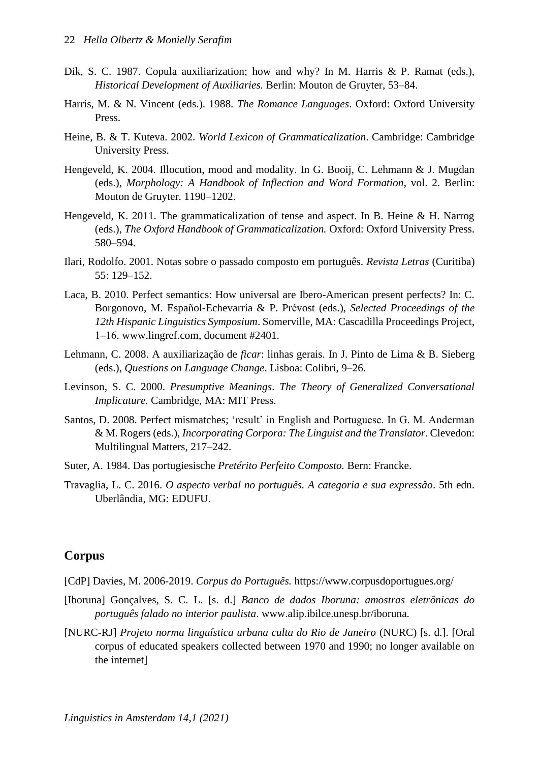- Dik, S. C. 1987. Copula auxiliarization; how and why? In M. Harris & P. Ramat (eds.), *Historical Development of Auxiliaries.* Berlin: Mouton de Gruyter, 53–84.
- Harris, M. & N. Vincent (eds.). 1988. *The Romance Languages*. Oxford: Oxford University Press.
- Heine, B. & T. Kuteva. 2002. *World Lexicon of Grammaticalization*. Cambridge: Cambridge University Press.
- Hengeveld, K. 2004. Illocution, mood and modality. In G. Booij, C. Lehmann & J. Mugdan (eds.), *Morphology: A Handbook of Inflection and Word Formation*, vol. 2. Berlin: Mouton de Gruyter. 1190–1202.
- Hengeveld, K. 2011. The grammaticalization of tense and aspect. In B. Heine & H. Narrog (eds.), *The Oxford Handbook of Grammaticalization.* Oxford: Oxford University Press. 580–594.
- Ilari, Rodolfo. 2001. Notas sobre o passado composto em português. *Revista Letras* (Curitiba) 55: 129–152.
- Laca, B. 2010. Perfect semantics: How universal are Ibero-American present perfects? In: C. Borgonovo, M. Español-Echevarría & P. Prévost (eds.), *Selected Proceedings of the 12th Hispanic Linguistics Symposium*. Somerville, MA: Cascadilla Proceedings Project, 1‒16. www.lingref.com, document #2401.
- Lehmann, C. 2008. A auxiliarização de *ficar*: linhas gerais. In J. Pinto de Lima & B. Sieberg (eds.), *Questions on Language Change*. Lisboa: Colibri, 9–26.
- Levinson, S. C. 2000. *Presumptive Meanings*. *The Theory of Generalized Conversational Implicature.* Cambridge, MA: MIT Press.
- Santos, D. 2008. Perfect mismatches; 'result' in English and Portuguese. In G. M. Anderman & M. Rogers (eds.), *Incorporating Corpora: The Linguist and the Translator*. Clevedon: Multilingual Matters, 217–242.
- Suter, A. 1984. Das portugiesische *Pretérito Perfeito Composto.* Bern: Francke.
- Travaglia, L. C. 2016. *O aspecto verbal no português. A categoria e sua expressão*. 5th edn. Uberlândia, MG: EDUFU.

#### **Corpus**

[CdP] Davies, M. 2006-2019. *Corpus do Português.* https://www.corpusdoportugues.org/

- [Iboruna] Gonçalves, S. C. L. [s. d.] *Banco de dados Iboruna: amostras eletrônicas do português falado no interior paulista*. www.alip.ibilce.unesp.br/iboruna.
- [NURC-RJ] *Projeto norma linguística urbana culta do Rio de Janeiro* (NURC) [s. d.]. [Oral corpus of educated speakers collected between 1970 and 1990; no longer available on the internet]